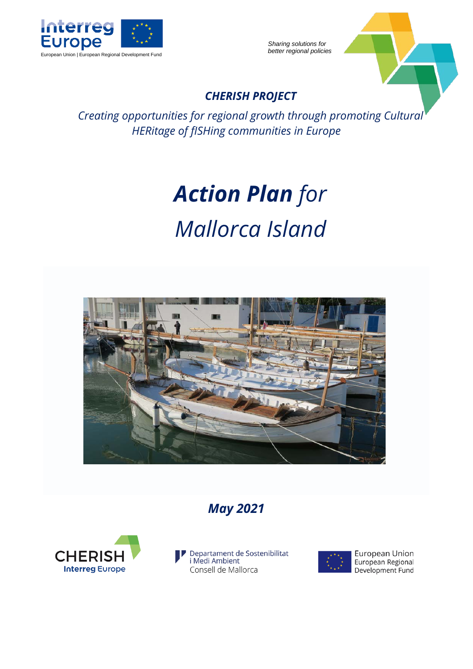

*Sharing solutions for* 

# *CHERISH PROJECT*

*Creating opportunities for regional growth through promoting Cultural HERitage of fISHing communities in Europe* 

# *Action Plan for Mallorca Island*



*May 2021*



Departament de Sostenibilitat i Medi Ambient Consell de Mallorca



European Union European Regional Development Fund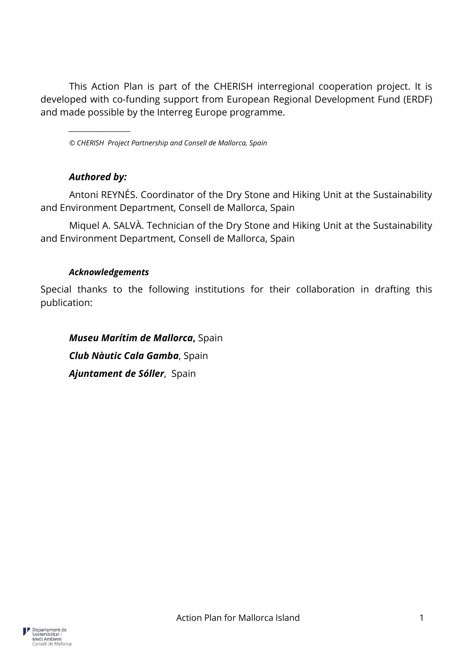This Action Plan is part of the CHERISH interregional cooperation project. It is developed with co-funding support from European Regional Development Fund (ERDF) and made possible by the Interreg Europe programme.

*© CHERISH Project Partnership and Consell de Mallorca, Spain* 

#### *Authored by:*

*\_\_\_\_\_\_\_\_\_\_\_\_\_\_\_\_\_\_\_\_\_\_*

Antoni REYNÉS. Coordinator of the Dry Stone and Hiking Unit at the Sustainability and Environment Department, Consell de Mallorca, Spain

Miquel A. SALVÀ. Technician of the Dry Stone and Hiking Unit at the Sustainability and Environment Department, Consell de Mallorca, Spain

#### *Acknowledgements*

Special thanks to the following institutions for their collaboration in drafting this publication:

*Museu Marítim de Mallorca***,** Spain *Club Nàutic Cala Gamba*, Spain *Ajuntament de Sóller*, Spain

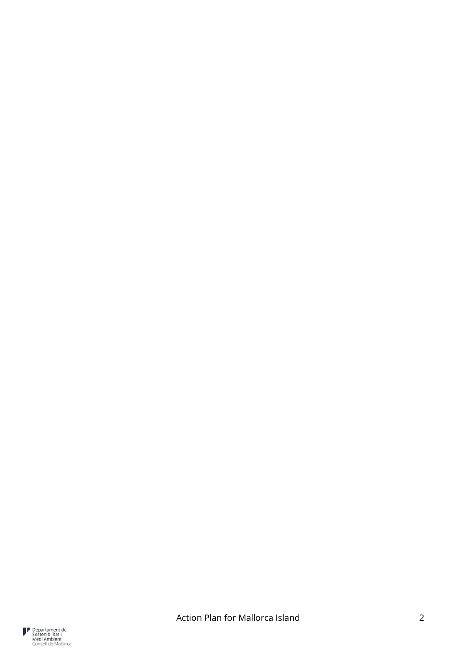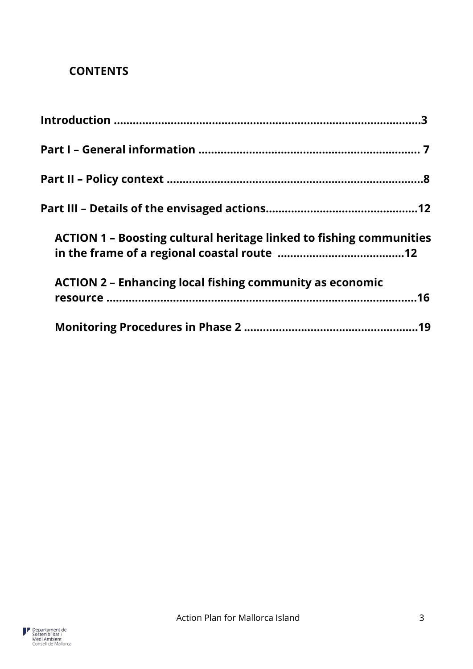# **CONTENTS**

| <b>ACTION 1 - Boosting cultural heritage linked to fishing communities</b> |
|----------------------------------------------------------------------------|
| <b>ACTION 2 - Enhancing local fishing community as economic</b>            |
|                                                                            |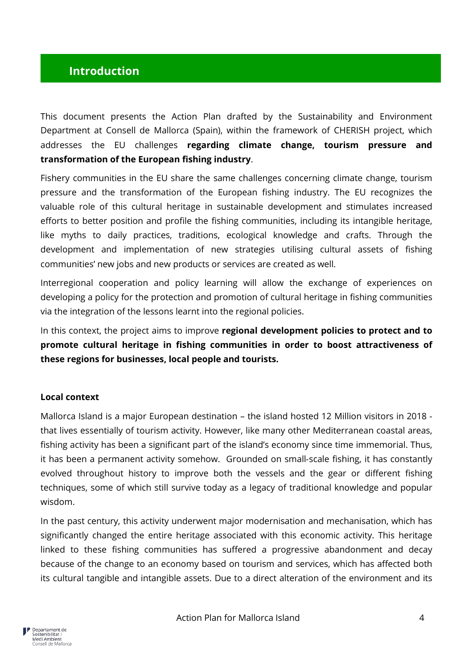## **Introduction**

This document presents the Action Plan drafted by the Sustainability and Environment Department at Consell de Mallorca (Spain), within the framework of CHERISH project, which addresses the EU challenges **regarding climate change, tourism pressure and transformation of the European fishing industry**.

Fishery communities in the EU share the same challenges concerning climate change, tourism pressure and the transformation of the European fishing industry. The EU recognizes the valuable role of this cultural heritage in sustainable development and stimulates increased efforts to better position and profile the fishing communities, including its intangible heritage, like myths to daily practices, traditions, ecological knowledge and crafts. Through the development and implementation of new strategies utilising cultural assets of fishing communities' new jobs and new products or services are created as well.

Interregional cooperation and policy learning will allow the exchange of experiences on developing a policy for the protection and promotion of cultural heritage in fishing communities via the integration of the lessons learnt into the regional policies.

In this context, the project aims to improve **regional development policies to protect and to promote cultural heritage in fishing communities in order to boost attractiveness of these regions for businesses, local people and tourists.** 

#### **Local context**

Mallorca Island is a major European destination – the island hosted 12 Million visitors in 2018 that lives essentially of tourism activity. However, like many other Mediterranean coastal areas, fishing activity has been a significant part of the island's economy since time immemorial. Thus, it has been a permanent activity somehow. Grounded on small‐scale fishing, it has constantly evolved throughout history to improve both the vessels and the gear or different fishing techniques, some of which still survive today as a legacy of traditional knowledge and popular wisdom.

In the past century, this activity underwent major modernisation and mechanisation, which has significantly changed the entire heritage associated with this economic activity. This heritage linked to these fishing communities has suffered a progressive abandonment and decay because of the change to an economy based on tourism and services, which has affected both its cultural tangible and intangible assets. Due to a direct alteration of the environment and its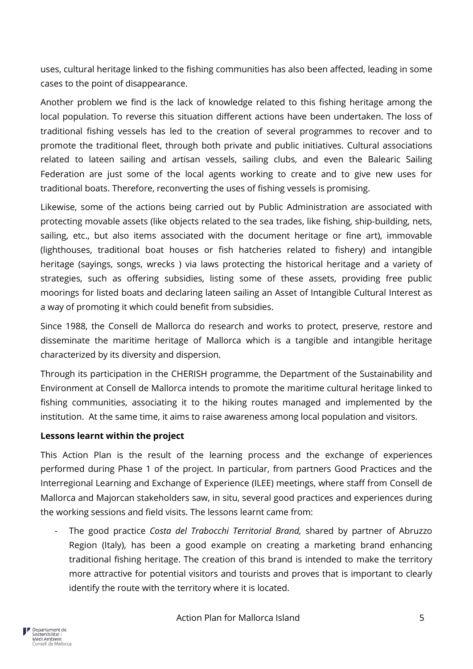uses, cultural heritage linked to the fishing communities has also been affected, leading in some cases to the point of disappearance.

Another problem we find is the lack of knowledge related to this fishing heritage among the local population. To reverse this situation different actions have been undertaken. The loss of traditional fishing vessels has led to the creation of several programmes to recover and to promote the traditional fleet, through both private and public initiatives. Cultural associations related to lateen sailing and artisan vessels, sailing clubs, and even the Balearic Sailing Federation are just some of the local agents working to create and to give new uses for traditional boats. Therefore, reconverting the uses of fishing vessels is promising.

Likewise, some of the actions being carried out by Public Administration are associated with protecting movable assets (like objects related to the sea trades, like fishing, ship-building, nets, sailing, etc., but also items associated with the document heritage or fine art), immovable (lighthouses, traditional boat houses or fish hatcheries related to fishery) and intangible heritage (sayings, songs, wrecks ) via laws protecting the historical heritage and a variety of strategies, such as offering subsidies, listing some of these assets, providing free public moorings for listed boats and declaring lateen sailing an Asset of Intangible Cultural Interest as a way of promoting it which could benefit from subsidies.

Since 1988, the Consell de Mallorca do research and works to protect, preserve, restore and disseminate the maritime heritage of Mallorca which is a tangible and intangible heritage characterized by its diversity and dispersion.

Through its participation in the CHERISH programme, the Department of the Sustainability and Environment at Consell de Mallorca intends to promote the maritime cultural heritage linked to fishing communities, associating it to the hiking routes managed and implemented by the institution. At the same time, it aims to raise awareness among local population and visitors.

#### **Lessons learnt within the project**

This Action Plan is the result of the learning process and the exchange of experiences performed during Phase 1 of the project. In particular, from partners Good Practices and the Interregional Learning and Exchange of Experience (ILEE) meetings, where staff from Consell de Mallorca and Majorcan stakeholders saw, in situ, several good practices and experiences during the working sessions and field visits. The lessons learnt came from:

- The good practice *Costa del Trabocchi Territorial Brand,* shared by partner of Abruzzo Region (Italy), has been a good example on creating a marketing brand enhancing traditional fishing heritage. The creation of this brand is intended to make the territory more attractive for potential visitors and tourists and proves that is important to clearly identify the route with the territory where it is located.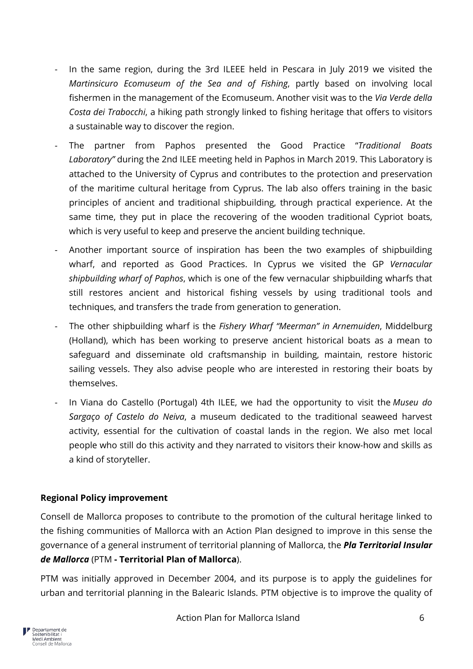- In the same region, during the 3rd ILEEE held in Pescara in July 2019 we visited the *Martinsicuro Ecomuseum of the Sea and of Fishing*, partly based on involving local fishermen in the management of the Ecomuseum. Another visit was to the *Via Verde della Costa dei Trabocchi*, a hiking path strongly linked to fishing heritage that offers to visitors a sustainable way to discover the region.
- The partner from Paphos presented the Good Practice "*Traditional Boats Laboratory"* during the 2nd ILEE meeting held in Paphos in March 2019. This Laboratory is attached to the University of Cyprus and contributes to the protection and preservation of the maritime cultural heritage from Cyprus. The lab also offers training in the basic principles of ancient and traditional shipbuilding, through practical experience. At the same time, they put in place the recovering of the wooden traditional Cypriot boats, which is very useful to keep and preserve the ancient building technique.
- Another important source of inspiration has been the two examples of shipbuilding wharf, and reported as Good Practices. In Cyprus we visited the GP *Vernacular shipbuilding wharf of Paphos*, which is one of the few vernacular shipbuilding wharfs that still restores ancient and historical fishing vessels by using traditional tools and techniques, and transfers the trade from generation to generation.
- The other shipbuilding wharf is the *Fishery Wharf "Meerman" in Arnemuiden*, Middelburg (Holland), which has been working to preserve ancient historical boats as a mean to safeguard and disseminate old craftsmanship in building, maintain, restore historic sailing vessels. They also advise people who are interested in restoring their boats by themselves.
- In Viana do Castello (Portugal) 4th ILEE, we had the opportunity to visit the *Museu do Sargaço of Castelo do Neiva*, a museum dedicated to the traditional seaweed harvest activity, essential for the cultivation of coastal lands in the region. We also met local people who still do this activity and they narrated to visitors their know-how and skills as a kind of storyteller.

#### **Regional Policy improvement**

Consell de Mallorca proposes to contribute to the promotion of the cultural heritage linked to the fishing communities of Mallorca with an Action Plan designed to improve in this sense the governance of a general instrument of territorial planning of Mallorca, the *Pla Territorial Insular de Mallorca* (PTM **- Territorial Plan of Mallorca**).

PTM was initially approved in December 2004, and its purpose is to apply the guidelines for urban and territorial planning in the Balearic Islands. PTM objective is to improve the quality of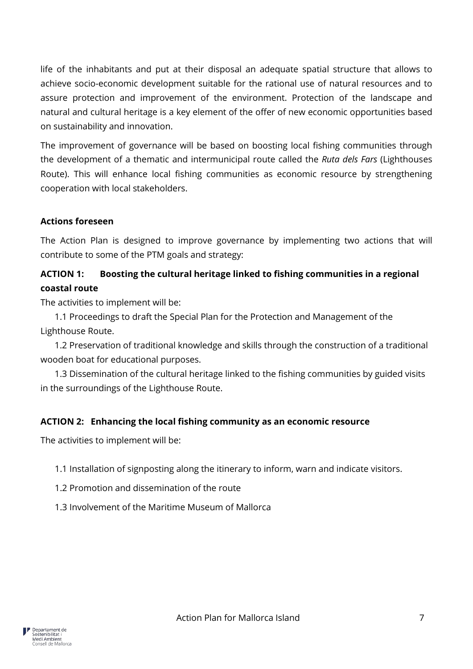life of the inhabitants and put at their disposal an adequate spatial structure that allows to achieve socio-economic development suitable for the rational use of natural resources and to assure protection and improvement of the environment. Protection of the landscape and natural and cultural heritage is a key element of the offer of new economic opportunities based on sustainability and innovation.

The improvement of governance will be based on boosting local fishing communities through the development of a thematic and intermunicipal route called the *Ruta dels Fars* (Lighthouses Route). This will enhance local fishing communities as economic resource by strengthening cooperation with local stakeholders.

#### **Actions foreseen**

The Action Plan is designed to improve governance by implementing two actions that will contribute to some of the PTM goals and strategy:

#### **ACTION 1: Boosting the cultural heritage linked to fishing communities in a regional coastal route**

The activities to implement will be:

1.1 Proceedings to draft the Special Plan for the Protection and Management of the Lighthouse Route.

1.2 Preservation of traditional knowledge and skills through the construction of a traditional wooden boat for educational purposes.

1.3 Dissemination of the cultural heritage linked to the fishing communities by guided visits in the surroundings of the Lighthouse Route.

#### **ACTION 2: Enhancing the local fishing community as an economic resource**

The activities to implement will be:

- 1.1 Installation of signposting along the itinerary to inform, warn and indicate visitors.
- 1.2 Promotion and dissemination of the route
- 1.3 Involvement of the Maritime Museum of Mallorca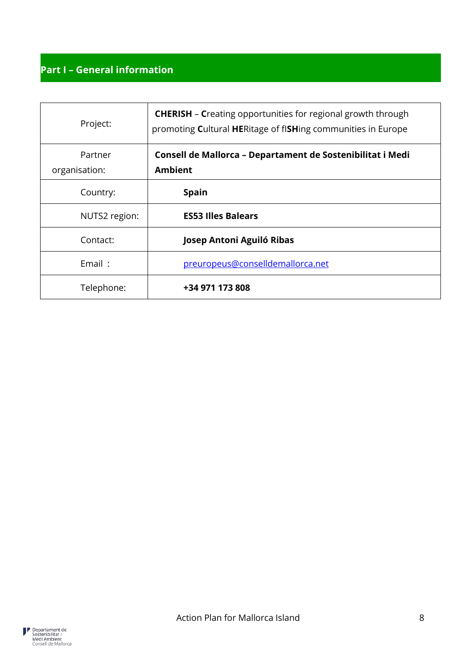# **Part I – General information**

| Project:      | <b>CHERISH</b> – Creating opportunities for regional growth through<br>promoting Cultural HERitage of fISHing communities in Europe |
|---------------|-------------------------------------------------------------------------------------------------------------------------------------|
| Partner       | Consell de Mallorca – Departament de Sostenibilitat i Medi                                                                          |
| organisation: | Ambient                                                                                                                             |
| Country:      | <b>Spain</b>                                                                                                                        |
| NUTS2 region: | <b>ES53 Illes Balears</b>                                                                                                           |
| Contact:      | Josep Antoni Aguiló Ribas                                                                                                           |
| Email:        | preuropeus@conselldemallorca.net                                                                                                    |
| Telephone:    | +34 971 173 808                                                                                                                     |

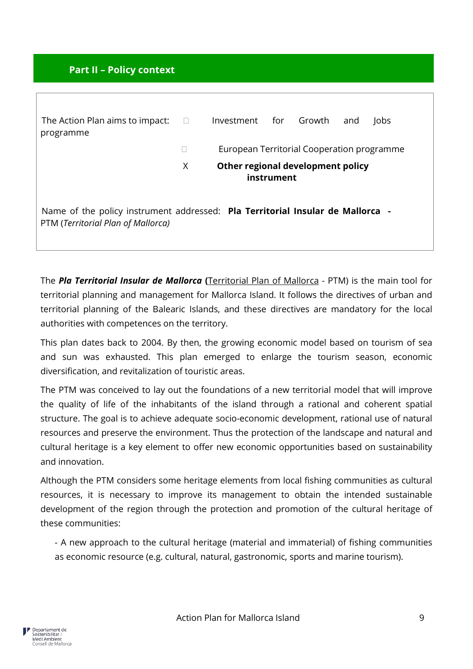#### **Part II – Policy context**

| The Action Plan aims to impact: $\square$<br>programme                                                               |   | Investment                                      | for | Growth | and | Jobs |
|----------------------------------------------------------------------------------------------------------------------|---|-------------------------------------------------|-----|--------|-----|------|
|                                                                                                                      | E | European Territorial Cooperation programme      |     |        |     |      |
|                                                                                                                      | X | Other regional development policy<br>instrument |     |        |     |      |
| Name of the policy instrument addressed: Pla Territorial Insular de Mallorca -<br>PTM (Territorial Plan of Mallorca) |   |                                                 |     |        |     |      |

The *Pla Territorial Insular de Mallorca* **(**Territorial Plan of Mallorca - PTM) is the main tool for territorial planning and management for Mallorca Island. It follows the directives of urban and territorial planning of the Balearic Islands, and these directives are mandatory for the local authorities with competences on the territory.

This plan dates back to 2004. By then, the growing economic model based on tourism of sea and sun was exhausted. This plan emerged to enlarge the tourism season, economic diversification, and revitalization of touristic areas.

The PTM was conceived to lay out the foundations of a new territorial model that will improve the quality of life of the inhabitants of the island through a rational and coherent spatial structure. The goal is to achieve adequate socio-economic development, rational use of natural resources and preserve the environment. Thus the protection of the landscape and natural and cultural heritage is a key element to offer new economic opportunities based on sustainability and innovation.

Although the PTM considers some heritage elements from local fishing communities as cultural resources, it is necessary to improve its management to obtain the intended sustainable development of the region through the protection and promotion of the cultural heritage of these communities:

- A new approach to the cultural heritage (material and immaterial) of fishing communities as economic resource (e.g. cultural, natural, gastronomic, sports and marine tourism).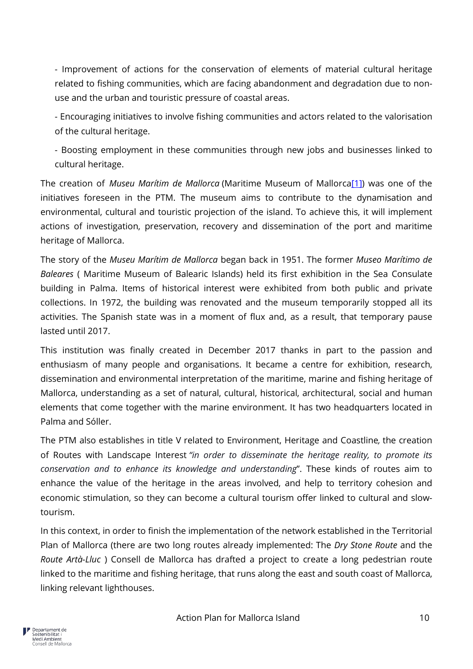- Improvement of actions for the conservation of elements of material cultural heritage related to fishing communities, which are facing abandonment and degradation due to nonuse and the urban and touristic pressure of coastal areas.

- Encouraging initiatives to involve fishing communities and actors related to the valorisation of the cultural heritage.

- Boosting employment in these communities through new jobs and businesses linked to cultural heritage.

The creation of *Museu Marítim de Mallorca* (Maritime Museum of Mallorca[1]) was one of the initiatives foreseen in the PTM. The museum aims to contribute to the dynamisation and environmental, cultural and touristic projection of the island. To achieve this, it will implement actions of investigation, preservation, recovery and dissemination of the port and maritime heritage of Mallorca.

The story of the *Museu Marítim de Mallorca* began back in 1951. The former *Museo Marítimo de Baleares* ( Maritime Museum of Balearic Islands) held its first exhibition in the Sea Consulate building in Palma. Items of historical interest were exhibited from both public and private collections. In 1972, the building was renovated and the museum temporarily stopped all its activities. The Spanish state was in a moment of flux and, as a result, that temporary pause lasted until 2017.

This institution was finally created in December 2017 thanks in part to the passion and enthusiasm of many people and organisations. It became a centre for exhibition, research, dissemination and environmental interpretation of the maritime, marine and fishing heritage of Mallorca, understanding as a set of natural, cultural, historical, architectural, social and human elements that come together with the marine environment. It has two headquarters located in Palma and Sóller.

The PTM also establishes in title V related to Environment, Heritage and Coastline*,* the creation of Routes with Landscape Interest *"in order to disseminate the heritage reality, to promote its conservation and to enhance its knowledge and understanding*". These kinds of routes aim to enhance the value of the heritage in the areas involved, and help to territory cohesion and economic stimulation, so they can become a cultural tourism offer linked to cultural and slowtourism.

In this context, in order to finish the implementation of the network established in the Territorial Plan of Mallorca (there are two long routes already implemented: The *Dry Stone Route* and the *Route Artà-Lluc* ) Consell de Mallorca has drafted a project to create a long pedestrian route linked to the maritime and fishing heritage, that runs along the east and south coast of Mallorca, linking relevant lighthouses.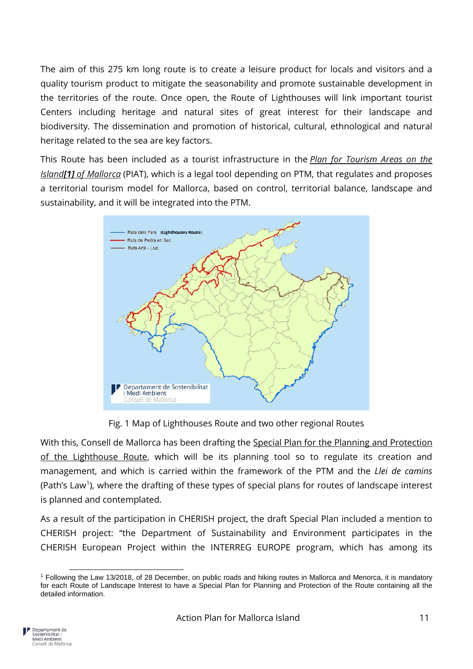The aim of this 275 km long route is to create a leisure product for locals and visitors and a quality tourism product to mitigate the seasonability and promote sustainable development in the territories of the route. Once open, the Route of Lighthouses will link important tourist Centers including heritage and natural sites of great interest for their landscape and biodiversity. The dissemination and promotion of historical, cultural, ethnological and natural heritage related to the sea are key factors.

This Route has been included as a tourist infrastructure in the *Plan for Tourism Areas on the Island[1] of Mallorca* (PIAT), which is a legal tool depending on PTM, that regulates and proposes a territorial tourism model for Mallorca, based on control, territorial balance, landscape and sustainability, and it will be integrated into the PTM.



Fig. 1 Map of Lighthouses Route and two other regional Routes

With this, Consell de Mallorca has been drafting the Special Plan for the Planning and Protection of the Lighthouse Route, which will be its planning tool so to regulate its creation and management, and which is carried within the framework of the PTM and the *Llei de camins*  (Path's Law<sup>[1](#page-11-0)</sup>), where the drafting of these types of special plans for routes of landscape interest is planned and contemplated.

As a result of the participation in CHERISH project, the draft Special Plan included a mention to CHERISH project: "the Department of Sustainability and Environment participates in the CHERISH European Project within the INTERREG EUROPE program, which has among its

<span id="page-11-0"></span> <sup>1</sup> Following the Law 13/2018, of 28 December, on public roads and hiking routes in Mallorca and Menorca, it is mandatory for each Route of Landscape Interest to have a Special Plan for Planning and Protection of the Route containing all the detailed information.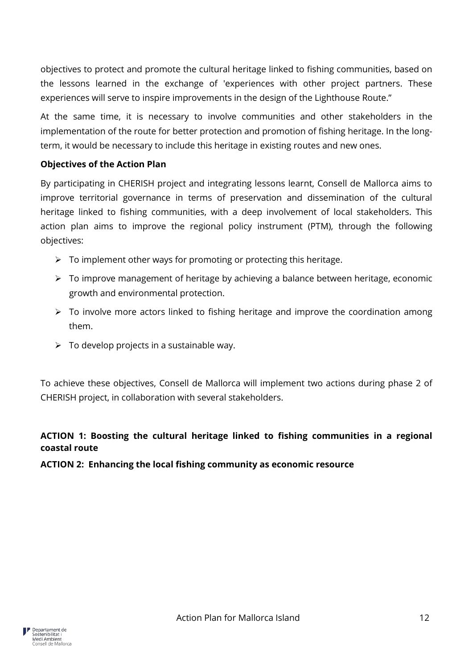objectives to protect and promote the cultural heritage linked to fishing communities, based on the lessons learned in the exchange of 'experiences with other project partners. These experiences will serve to inspire improvements in the design of the Lighthouse Route."

At the same time, it is necessary to involve communities and other stakeholders in the implementation of the route for better protection and promotion of fishing heritage. In the longterm, it would be necessary to include this heritage in existing routes and new ones.

#### **Objectives of the Action Plan**

By participating in CHERISH project and integrating lessons learnt, Consell de Mallorca aims to improve territorial governance in terms of preservation and dissemination of the cultural heritage linked to fishing communities, with a deep involvement of local stakeholders. This action plan aims to improve the regional policy instrument (PTM), through the following objectives:

- $\triangleright$  To implement other ways for promoting or protecting this heritage.
- $\triangleright$  To improve management of heritage by achieving a balance between heritage, economic growth and environmental protection.
- $\triangleright$  To involve more actors linked to fishing heritage and improve the coordination among them.
- $\triangleright$  To develop projects in a sustainable way.

To achieve these objectives, Consell de Mallorca will implement two actions during phase 2 of CHERISH project, in collaboration with several stakeholders.

#### **ACTION 1: Boosting the cultural heritage linked to fishing communities in a regional coastal route**

**ACTION 2: Enhancing the local fishing community as economic resource**

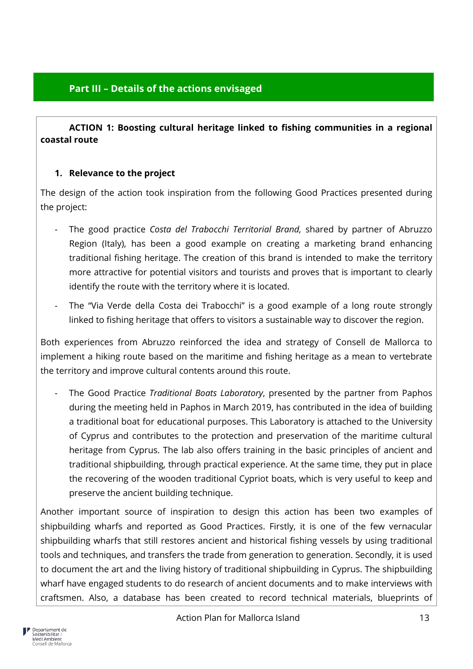### **Part III – Details of the actions envisaged**

#### **ACTION 1: Boosting cultural heritage linked to fishing communities in a regional coastal route**

#### **1. Relevance to the project**

The design of the action took inspiration from the following Good Practices presented during the project:

- The good practice *Costa del Trabocchi Territorial Brand,* shared by partner of Abruzzo Region (Italy), has been a good example on creating a marketing brand enhancing traditional fishing heritage. The creation of this brand is intended to make the territory more attractive for potential visitors and tourists and proves that is important to clearly identify the route with the territory where it is located.
- The "Via Verde della Costa dei Trabocchi" is a good example of a long route strongly linked to fishing heritage that offers to visitors a sustainable way to discover the region.

Both experiences from Abruzzo reinforced the idea and strategy of Consell de Mallorca to implement a hiking route based on the maritime and fishing heritage as a mean to vertebrate the territory and improve cultural contents around this route.

- The Good Practice *Traditional Boats Laboratory*, presented by the partner from Paphos during the meeting held in Paphos in March 2019, has contributed in the idea of building a traditional boat for educational purposes. This Laboratory is attached to the University of Cyprus and contributes to the protection and preservation of the maritime cultural heritage from Cyprus. The lab also offers training in the basic principles of ancient and traditional shipbuilding, through practical experience. At the same time, they put in place the recovering of the wooden traditional Cypriot boats, which is very useful to keep and preserve the ancient building technique.

Another important source of inspiration to design this action has been two examples of shipbuilding wharfs and reported as Good Practices. Firstly, it is one of the few vernacular shipbuilding wharfs that still restores ancient and historical fishing vessels by using traditional tools and techniques, and transfers the trade from generation to generation. Secondly, it is used to document the art and the living history of traditional shipbuilding in Cyprus. The shipbuilding wharf have engaged students to do research of ancient documents and to make interviews with craftsmen. Also, a database has been created to record technical materials, blueprints of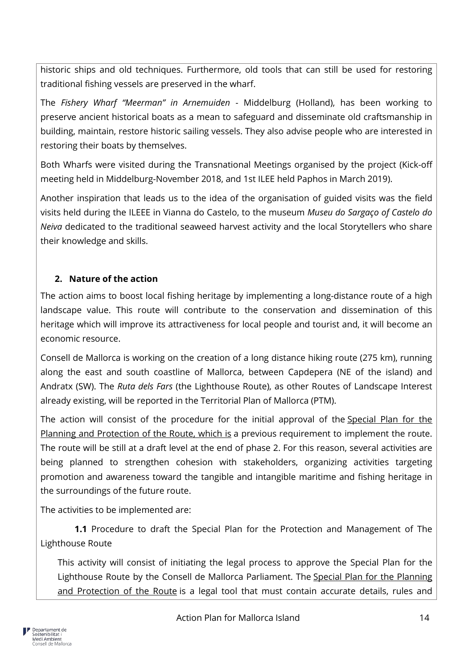historic ships and old techniques. Furthermore, old tools that can still be used for restoring traditional fishing vessels are preserved in the wharf.

The *Fishery Wharf "Meerman" in Arnemuiden* - Middelburg (Holland), has been working to preserve ancient historical boats as a mean to safeguard and disseminate old craftsmanship in building, maintain, restore historic sailing vessels. They also advise people who are interested in restoring their boats by themselves.

Both Wharfs were visited during the Transnational Meetings organised by the project (Kick-off meeting held in Middelburg-November 2018, and 1st ILEE held Paphos in March 2019).

Another inspiration that leads us to the idea of the organisation of guided visits was the field visits held during the ILEEE in Vianna do Castelo, to the museum *Museu do Sargaço of Castelo do Neiva* dedicated to the traditional seaweed harvest activity and the local Storytellers who share their knowledge and skills.

#### **2. Nature of the action**

The action aims to boost local fishing heritage by implementing a long-distance route of a high landscape value. This route will contribute to the conservation and dissemination of this heritage which will improve its attractiveness for local people and tourist and, it will become an economic resource.

Consell de Mallorca is working on the creation of a long distance hiking route (275 km), running along the east and south coastline of Mallorca, between Capdepera (NE of the island) and Andratx (SW). The *Ruta dels Fars* (the Lighthouse Route), as other Routes of Landscape Interest already existing, will be reported in the Territorial Plan of Mallorca (PTM).

The action will consist of the procedure for the initial approval of the Special Plan for the Planning and Protection of the Route, which is a previous requirement to implement the route. The route will be still at a draft level at the end of phase 2. For this reason, several activities are being planned to strengthen cohesion with stakeholders, organizing activities targeting promotion and awareness toward the tangible and intangible maritime and fishing heritage in the surroundings of the future route.

The activities to be implemented are:

 **1.1** Procedure to draft the Special Plan for the Protection and Management of The Lighthouse Route

This activity will consist of initiating the legal process to approve the Special Plan for the Lighthouse Route by the Consell de Mallorca Parliament. The Special Plan for the Planning and Protection of the Route is a legal tool that must contain accurate details, rules and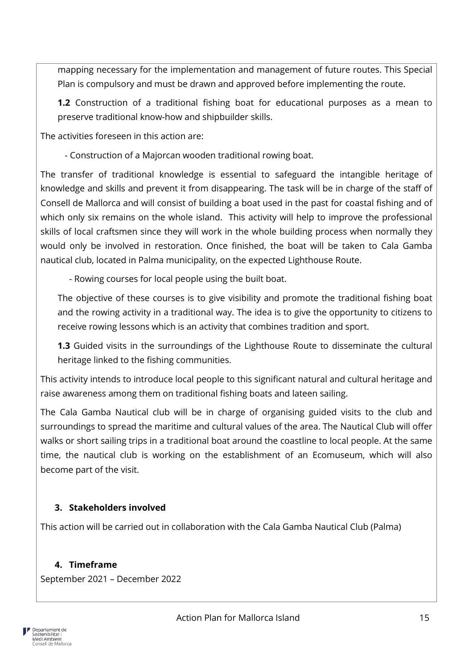mapping necessary for the implementation and management of future routes. This Special Plan is compulsory and must be drawn and approved before implementing the route.

**1.2** Construction of a traditional fishing boat for educational purposes as a mean to preserve traditional know-how and shipbuilder skills.

The activities foreseen in this action are:

- Construction of a Majorcan wooden traditional rowing boat.

The transfer of traditional knowledge is essential to safeguard the intangible heritage of knowledge and skills and prevent it from disappearing. The task will be in charge of the staff of Consell de Mallorca and will consist of building a boat used in the past for coastal fishing and of which only six remains on the whole island. This activity will help to improve the professional skills of local craftsmen since they will work in the whole building process when normally they would only be involved in restoration. Once finished, the boat will be taken to Cala Gamba nautical club, located in Palma municipality, on the expected Lighthouse Route.

- Rowing courses for local people using the built boat.

The objective of these courses is to give visibility and promote the traditional fishing boat and the rowing activity in a traditional way. The idea is to give the opportunity to citizens to receive rowing lessons which is an activity that combines tradition and sport.

**1.3** Guided visits in the surroundings of the Lighthouse Route to disseminate the cultural heritage linked to the fishing communities.

This activity intends to introduce local people to this significant natural and cultural heritage and raise awareness among them on traditional fishing boats and lateen sailing.

The Cala Gamba Nautical club will be in charge of organising guided visits to the club and surroundings to spread the maritime and cultural values of the area. The Nautical Club will offer walks or short sailing trips in a traditional boat around the coastline to local people. At the same time, the nautical club is working on the establishment of an Ecomuseum, which will also become part of the visit.

#### **3. Stakeholders involved**

This action will be carried out in collaboration with the Cala Gamba Nautical Club (Palma)

#### **4. Timeframe**

September 2021 – December 2022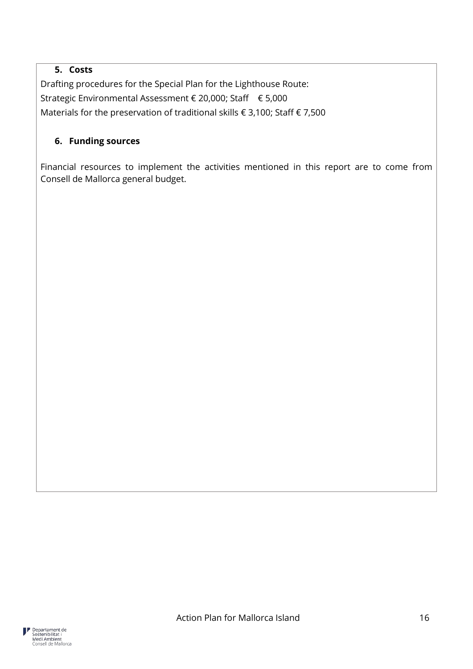#### **5. Costs**

Drafting procedures for the Special Plan for the Lighthouse Route: Strategic Environmental Assessment € 20,000; Staff € 5,000 Materials for the preservation of traditional skills € 3,100; Staff € 7,500

#### **6. Funding sources**

Financial resources to implement the activities mentioned in this report are to come from Consell de Mallorca general budget.

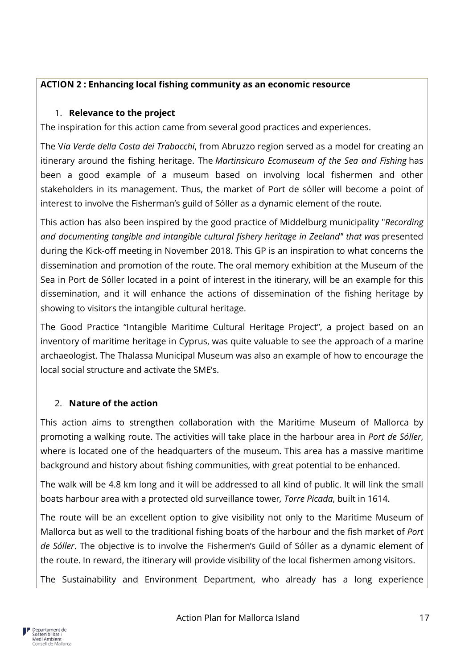#### **ACTION 2 : Enhancing local fishing community as an economic resource**

#### 1. **Relevance to the project**

The inspiration for this action came from several good practices and experiences.

The V*ia Verde della Costa dei Trabocchi*, from Abruzzo region served as a model for creating an itinerary around the fishing heritage. The *Martinsicuro Ecomuseum of the Sea and Fishing* has been a good example of a museum based on involving local fishermen and other stakeholders in its management. Thus, the market of Port de sóller will become a point of interest to involve the Fisherman's guild of Sóller as a dynamic element of the route.

This action has also been inspired by the good practice of Middelburg municipality "*Recording and documenting tangible and intangible cultural fishery heritage in Zeeland" that was* presented during the Kick-off meeting in November 2018. This GP is an inspiration to what concerns the dissemination and promotion of the route. The oral memory exhibition at the Museum of the Sea in Port de Sóller located in a point of interest in the itinerary, will be an example for this dissemination, and it will enhance the actions of dissemination of the fishing heritage by showing to visitors the intangible cultural heritage.

The Good Practice "Intangible Maritime Cultural Heritage Project", a project based on an inventory of maritime heritage in Cyprus, was quite valuable to see the approach of a marine archaeologist. The Thalassa Municipal Museum was also an example of how to encourage the local social structure and activate the SME's.

#### 2. **Nature of the action**

This action aims to strengthen collaboration with the Maritime Museum of Mallorca by promoting a walking route. The activities will take place in the harbour area in *Port de Sóller*, where is located one of the headquarters of the museum. This area has a massive maritime background and history about fishing communities, with great potential to be enhanced.

The walk will be 4.8 km long and it will be addressed to all kind of public. It will link the small boats harbour area with a protected old surveillance tower*, Torre Picada*, built in 1614.

The route will be an excellent option to give visibility not only to the Maritime Museum of Mallorca but as well to the traditional fishing boats of the harbour and the fish market of *Port de Sóller*. The objective is to involve the Fishermen's Guild of Sóller as a dynamic element of the route. In reward, the itinerary will provide visibility of the local fishermen among visitors.

The Sustainability and Environment Department, who already has a long experience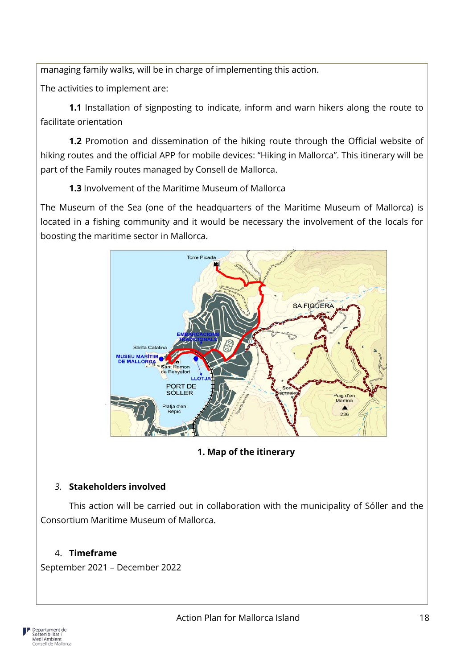managing family walks, will be in charge of implementing this action.

The activities to implement are:

**1.1** Installation of signposting to indicate, inform and warn hikers along the route to facilitate orientation

**1.2** Promotion and dissemination of the hiking route through the Official website of hiking routes and the official APP for mobile devices: "Hiking in Mallorca". This itinerary will be part of the Family routes managed by Consell de Mallorca.

**1.3** Involvement of the Maritime Museum of Mallorca

The Museum of the Sea (one of the headquarters of the Maritime Museum of Mallorca) is located in a fishing community and it would be necessary the involvement of the locals for boosting the maritime sector in Mallorca.



**1. Map of the itinerary**

#### *3.* **Stakeholders involved**

This action will be carried out in collaboration with the municipality of Sóller and the Consortium Maritime Museum of Mallorca.

#### 4. **Timeframe**

September 2021 – December 2022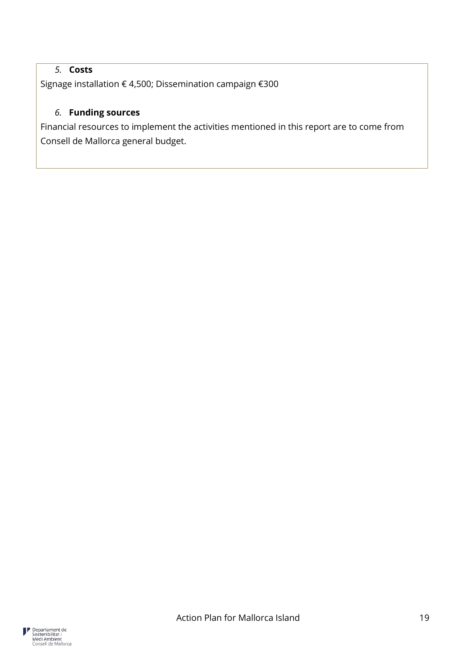#### *5.* **Costs**

Signage installation € 4,500; Dissemination campaign €300

#### *6.* **Funding sources**

Financial resources to implement the activities mentioned in this report are to come from Consell de Mallorca general budget.

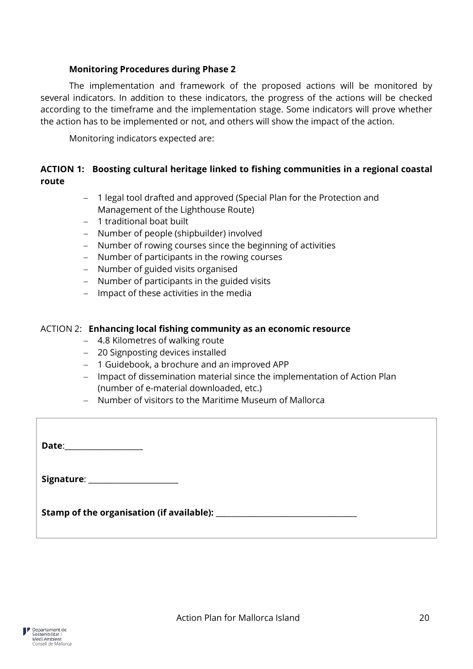#### **Monitoring Procedures during Phase 2**

The implementation and framework of the proposed actions will be monitored by several indicators. In addition to these indicators, the progress of the actions will be checked according to the timeframe and the implementation stage. Some indicators will prove whether the action has to be implemented or not, and others will show the impact of the action.

Monitoring indicators expected are:

#### **ACTION 1: Boosting cultural heritage linked to fishing communities in a regional coastal route**

- − 1 legal tool drafted and approved (Special Plan for the Protection and Management of the Lighthouse Route)
- − 1 traditional boat built
- − Number of people (shipbuilder) involved
- − Number of rowing courses since the beginning of activities
- − Number of participants in the rowing courses
- − Number of guided visits organised
- − Number of participants in the guided visits
- − Impact of these activities in the media

#### ACTION 2: **Enhancing local fishing community as an economic resource**

- − 4.8 Kilometres of walking route
- − 20 Signposting devices installed
- − 1 Guidebook, a brochure and an improved APP
- − Impact of dissemination material since the implementation of Action Plan (number of e-material downloaded, etc.)
- − Number of visitors to the Maritime Museum of Mallorca